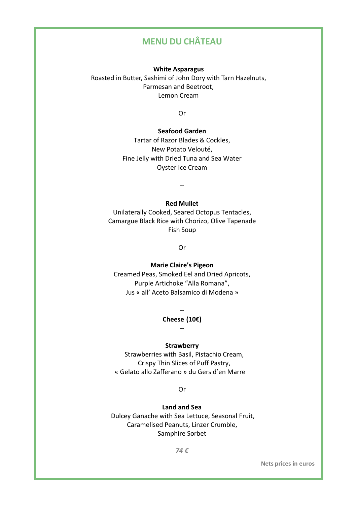# **MENU DU CHÂTEAU**

**White Asparagus**

Roasted in Butter, Sashimi of John Dory with Tarn Hazelnuts, Parmesan and Beetroot, Lemon Cream

Or

## **Seafood Garden**

Tartar of Razor Blades & Cockles, New Potato Velouté, Fine Jelly with Dried Tuna and Sea Water Oyster Ice Cream

--

### **Red Mullet**

Unilaterally Cooked, Seared Octopus Tentacles, Camargue Black Rice with Chorizo, Olive Tapenade Fish Soup

Or

### **Marie Claire's Pigeon**

Creamed Peas, Smoked Eel and Dried Apricots, Purple Artichoke "Alla Romana", Jus « all' Aceto Balsamico di Modena »

# -- **Cheese (10€)** --

#### **Strawberry**

Strawberries with Basil, Pistachio Cream, Crispy Thin Slices of Puff Pastry, « Gelato allo Zafferano » du Gers d'en Marre

Or

### **Land and Sea**

Dulcey Ganache with Sea Lettuce, Seasonal Fruit, Caramelised Peanuts, Linzer Crumble, Samphire Sorbet

*74 €*

**Nets prices in euros**